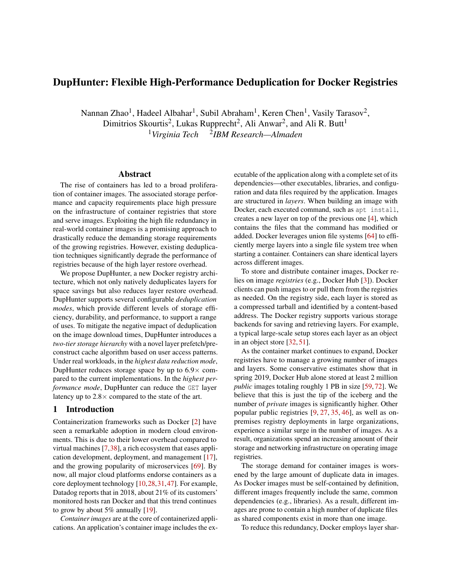# DupHunter: Flexible High-Performance Deduplication for Docker Registries

Nannan Zhao<sup>1</sup>, Hadeel Albahar<sup>1</sup>, Subil Abraham<sup>1</sup>, Keren Chen<sup>1</sup>, Vasily Tarasov<sup>2</sup>, Dimitrios Skourtis<sup>2</sup>, Lukas Rupprecht<sup>2</sup>, Ali Anwar<sup>2</sup>, and Ali R. Butt<sup>1</sup> <sup>1</sup>Virginia Tech <sup>2</sup>IBM Research—Almaden

# Abstract

The rise of containers has led to a broad proliferation of container images. The associated storage performance and capacity requirements place high pressure on the infrastructure of container registries that store and serve images. Exploiting the high file redundancy in real-world container images is a promising approach to drastically reduce the demanding storage requirements of the growing registries. However, existing deduplication techniques significantly degrade the performance of registries because of the high layer restore overhead.

We propose DupHunter, a new Docker registry architecture, which not only natively deduplicates layers for space savings but also reduces layer restore overhead. DupHunter supports several configurable *deduplication modes*, which provide different levels of storage efficiency, durability, and performance, to support a range of uses. To mitigate the negative impact of deduplication on the image download times, DupHunter introduces a *two-tier storage hierarchy* with a novel layer prefetch/preconstruct cache algorithm based on user access patterns. Under real workloads, in the *highest data reduction mode*, DupHunter reduces storage space by up to  $6.9\times$  compared to the current implementations. In the *highest performance mode*, DupHunter can reduce the GET layer latency up to  $2.8 \times$  compared to the state of the art.

# 1 Introduction

Containerization frameworks such as Docker [\[2\]](#page-12-0) have seen a remarkable adoption in modern cloud environments. This is due to their lower overhead compared to virtual machines [\[7,](#page-12-1)[38\]](#page-13-0), a rich ecosystem that eases application development, deployment, and management [\[17\]](#page-12-2), and the growing popularity of microservices [\[69\]](#page-14-0). By now, all major cloud platforms endorse containers as a core deployment technology [\[10,](#page-12-3)[28,](#page-12-4)[31,](#page-13-1)[47\]](#page-13-2). For example, Datadog reports that in 2018, about 21% of its customers' monitored hosts ran Docker and that this trend continues to grow by about 5% annually [\[19\]](#page-12-5).

*Container images* are at the core of containerized applications. An application's container image includes the executable of the application along with a complete set of its dependencies—other executables, libraries, and configuration and data files required by the application. Images are structured in *layers*. When building an image with Docker, each executed command, such as apt install, creates a new layer on top of the previous one [\[4\]](#page-12-6), which contains the files that the command has modified or added. Docker leverages union file systems [\[64\]](#page-14-1) to efficiently merge layers into a single file system tree when starting a container. Containers can share identical layers across different images.

To store and distribute container images, Docker relies on image *registries* (e.g., Docker Hub [\[3\]](#page-12-7)). Docker clients can push images to or pull them from the registries as needed. On the registry side, each layer is stored as a compressed tarball and identified by a content-based address. The Docker registry supports various storage backends for saving and retrieving layers. For example, a typical large-scale setup stores each layer as an object in an object store [\[32,](#page-13-3) [51\]](#page-13-4).

As the container market continues to expand, Docker registries have to manage a growing number of images and layers. Some conservative estimates show that in spring 2019, Docker Hub alone stored at least 2 million *public* images totaling roughly 1 PB in size [\[59,](#page-14-2) [72\]](#page-14-3). We believe that this is just the tip of the iceberg and the number of *private* images is significantly higher. Other popular public registries [\[9,](#page-12-8) [27,](#page-12-9) [35,](#page-13-5) [46\]](#page-13-6), as well as onpremises registry deployments in large organizations, experience a similar surge in the number of images. As a result, organizations spend an increasing amount of their storage and networking infrastructure on operating image registries.

The storage demand for container images is worsened by the large amount of duplicate data in images. As Docker images must be self-contained by definition, different images frequently include the same, common dependencies (e.g., libraries). As a result, different images are prone to contain a high number of duplicate files as shared components exist in more than one image.

To reduce this redundancy, Docker employs layer shar-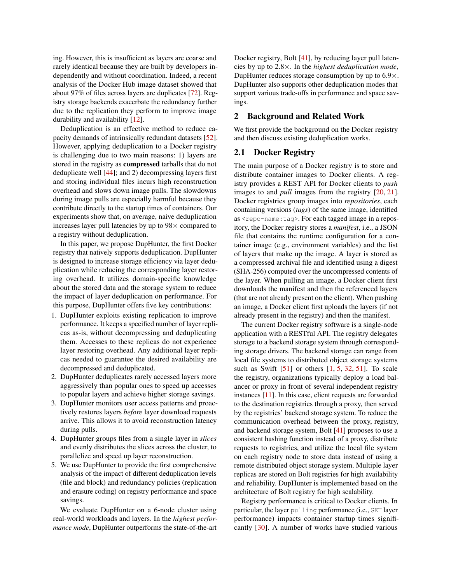ing. However, this is insufficient as layers are coarse and rarely identical because they are built by developers independently and without coordination. Indeed, a recent analysis of the Docker Hub image dataset showed that about 97% of files across layers are duplicates [\[72\]](#page-14-3). Registry storage backends exacerbate the redundancy further due to the replication they perform to improve image durability and availability [\[12\]](#page-12-10).

Deduplication is an effective method to reduce capacity demands of intrinsically redundant datasets [\[52\]](#page-13-7). However, applying deduplication to a Docker registry is challenging due to two main reasons: 1) layers are stored in the registry as compressed tarballs that do not deduplicate well [\[44\]](#page-13-8); and 2) decompressing layers first and storing individual files incurs high reconstruction overhead and slows down image pulls. The slowdowns during image pulls are especially harmful because they contribute directly to the startup times of containers. Our experiments show that, on average, naive deduplication increases layer pull latencies by up to  $98\times$  compared to a registry without deduplication.

In this paper, we propose DupHunter, the first Docker registry that natively supports deduplication. DupHunter is designed to increase storage efficiency via layer deduplication while reducing the corresponding layer restoring overhead. It utilizes domain-specific knowledge about the stored data and the storage system to reduce the impact of layer deduplication on performance. For this purpose, DupHunter offers five key contributions:

- 1. DupHunter exploits existing replication to improve performance. It keeps a specified number of layer replicas as-is, without decompressing and deduplicating them. Accesses to these replicas do not experience layer restoring overhead. Any additional layer replicas needed to guarantee the desired availability are decompressed and deduplicated.
- 2. DupHunter deduplicates rarely accessed layers more aggressively than popular ones to speed up accesses to popular layers and achieve higher storage savings.
- 3. DupHunter monitors user access patterns and proactively restores layers *before* layer download requests arrive. This allows it to avoid reconstruction latency during pulls.
- 4. DupHunter groups files from a single layer in *slices* and evenly distributes the slices across the cluster, to parallelize and speed up layer reconstruction.
- 5. We use DupHunter to provide the first comprehensive analysis of the impact of different deduplication levels (file and block) and redundancy policies (replication and erasure coding) on registry performance and space savings.

We evaluate DupHunter on a 6-node cluster using real-world workloads and layers. In the *highest performance mode*, DupHunter outperforms the state-of-the-art Docker registry, Bolt [\[41\]](#page-13-9), by reducing layer pull latencies by up to 2.8×. In the *highest deduplication mode*, DupHunter reduces storage consumption by up to  $6.9 \times$ . DupHunter also supports other deduplication modes that support various trade-offs in performance and space savings.

## 2 Background and Related Work

We first provide the background on the Docker registry and then discuss existing deduplication works.

# <span id="page-1-0"></span>2.1 Docker Registry

The main purpose of a Docker registry is to store and distribute container images to Docker clients. A registry provides a REST API for Docker clients to *push* images to and *pull* images from the registry [\[20,](#page-12-11) [21\]](#page-12-12). Docker registries group images into *repositories*, each containing versions (*tags*) of the same image, identified as <repo-name:tag>. For each tagged image in a repository, the Docker registry stores a *manifest*, i.e., a JSON file that contains the runtime configuration for a container image (e.g., environment variables) and the list of layers that make up the image. A layer is stored as a compressed archival file and identified using a digest (SHA-256) computed over the uncompressed contents of the layer. When pulling an image, a Docker client first downloads the manifest and then the referenced layers (that are not already present on the client). When pushing an image, a Docker client first uploads the layers (if not already present in the registry) and then the manifest.

The current Docker registry software is a single-node application with a RESTful API. The registry delegates storage to a backend storage system through corresponding storage drivers. The backend storage can range from local file systems to distributed object storage systems such as Swift  $[51]$  or others  $[1, 5, 32, 51]$  $[1, 5, 32, 51]$  $[1, 5, 32, 51]$  $[1, 5, 32, 51]$  $[1, 5, 32, 51]$  $[1, 5, 32, 51]$  $[1, 5, 32, 51]$ . To scale the registry, organizations typically deploy a load balancer or proxy in front of several independent registry instances [\[11\]](#page-12-15). In this case, client requests are forwarded to the destination registries through a proxy, then served by the registries' backend storage system. To reduce the communication overhead between the proxy, registry, and backend storage system, Bolt [\[41\]](#page-13-9) proposes to use a consistent hashing function instead of a proxy, distribute requests to registries, and utilize the local file system on each registry node to store data instead of using a remote distributed object storage system. Multiple layer replicas are stored on Bolt registries for high availability and reliability. DupHunter is implemented based on the architecture of Bolt registry for high scalability.

Registry performance is critical to Docker clients. In particular, the layer pulling performance (i.e., GET layer performance) impacts container startup times significantly [\[30\]](#page-13-10). A number of works have studied various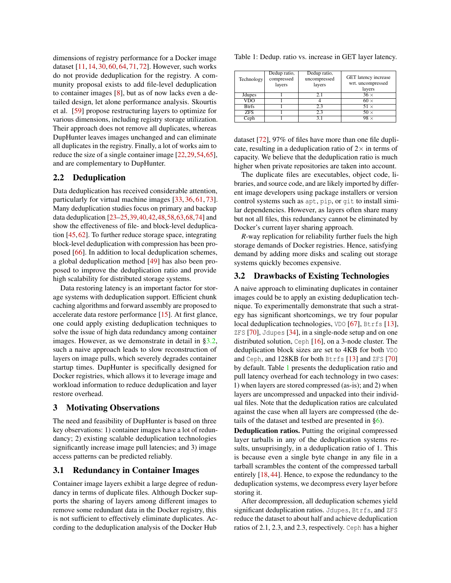dimensions of registry performance for a Docker image dataset [\[11,](#page-12-15) [14,](#page-12-16) [30,](#page-13-10) [60,](#page-14-4) [64,](#page-14-1) [71,](#page-14-5) [72\]](#page-14-3). However, such works do not provide deduplication for the registry. A community proposal exists to add file-level deduplication to container images [\[8\]](#page-12-17), but as of now lacks even a detailed design, let alone performance analysis. Skourtis et al. [\[59\]](#page-14-2) propose restructuring layers to optimize for various dimensions, including registry storage utilization. Their approach does not remove all duplicates, whereas DupHunter leaves images unchanged and can eliminate all duplicates in the registry. Finally, a lot of works aim to reduce the size of a single container image [\[22,](#page-12-18)[29,](#page-12-19)[54,](#page-14-6)[65\]](#page-14-7), and are complementary to DupHunter.

# 2.2 Deduplication

Data deduplication has received considerable attention, particularly for virtual machine images [\[33,](#page-13-11) [36,](#page-13-12) [61,](#page-14-8) [73\]](#page-14-9). Many deduplication studies focus on primary and backup data deduplication [\[23](#page-12-20)[–25,](#page-12-21)[39,](#page-13-13)[40,](#page-13-14)[42](#page-13-15)[,48,](#page-13-16)[58,](#page-14-10)[63](#page-14-11)[,68,](#page-14-12)[74\]](#page-14-13) and show the effectiveness of file- and block-level deduplication [\[45,](#page-13-17) [62\]](#page-14-14). To further reduce storage space, integrating block-level deduplication with compression has been proposed [\[66\]](#page-14-15). In addition to local deduplication schemes, a global deduplication method [\[49\]](#page-13-18) has also been proposed to improve the deduplication ratio and provide high scalability for distributed storage systems.

Data restoring latency is an important factor for storage systems with deduplication support. Efficient chunk caching algorithms and forward assembly are proposed to accelerate data restore performance [\[15\]](#page-12-22). At first glance, one could apply existing deduplication techniques to solve the issue of high data redundancy among container images. However, as we demonstrate in detail in [§3.2,](#page-2-0) such a naive approach leads to slow reconstruction of layers on image pulls, which severely degrades container startup times. DupHunter is specifically designed for Docker registries, which allows it to leverage image and workload information to reduce deduplication and layer restore overhead.

# <span id="page-2-2"></span>3 Motivating Observations

The need and feasibility of DupHunter is based on three key observations: 1) container images have a lot of redundancy; 2) existing scalable deduplication technologies significantly increase image pull latencies; and 3) image access patterns can be predicted reliably.

## 3.1 Redundancy in Container Images

Container image layers exhibit a large degree of redundancy in terms of duplicate files. Although Docker supports the sharing of layers among different images to remove some redundant data in the Docker registry, this is not sufficient to effectively eliminate duplicates. According to the deduplication analysis of the Docker Hub

<span id="page-2-1"></span>

| Table 1: Dedup. ratio vs. increase in GET layer latency. |  |  |  |
|----------------------------------------------------------|--|--|--|
|                                                          |  |  |  |

| Technology     | Dedup ratio,<br>compressed<br>layers | Dedup ratio,<br>uncompressed<br>layers | GET latency increase<br>wrt. uncompressed<br>layers |
|----------------|--------------------------------------|----------------------------------------|-----------------------------------------------------|
| <b>J</b> dupes |                                      |                                        | $36 \times$                                         |
| VDO            |                                      |                                        | $60 \times$                                         |
| <b>Btrfs</b>   |                                      | 2.3                                    | $51 \times$                                         |
| <b>ZFS</b>     |                                      | 2.3                                    | $50 \times$                                         |
| Ceph           |                                      |                                        | 98 ×                                                |

dataset [\[72\]](#page-14-3), 97% of files have more than one file duplicate, resulting in a deduplication ratio of  $2\times$  in terms of capacity. We believe that the deduplication ratio is much higher when private repositories are taken into account.

The duplicate files are executables, object code, libraries, and source code, and are likely imported by different image developers using package installers or version control systems such as apt, pip, or git to install similar dependencies. However, as layers often share many but not all files, this redundancy cannot be eliminated by Docker's current layer sharing approach.

*R*-way replication for reliability further fuels the high storage demands of Docker registries. Hence, satisfying demand by adding more disks and scaling out storage systems quickly becomes expensive.

### <span id="page-2-0"></span>3.2 Drawbacks of Existing Technologies

A naive approach to eliminating duplicates in container images could be to apply an existing deduplication technique. To experimentally demonstrate that such a strategy has significant shortcomings, we try four popular local deduplication technologies, VDO [\[67\]](#page-14-16), Btrfs [\[13\]](#page-12-23),  $ZFS$  [\[70\]](#page-14-17), Jdupes [\[34\]](#page-13-19), in a single-node setup and on one distributed solution, Ceph [\[16\]](#page-12-24), on a 3-node cluster. The deduplication block sizes are set to 4KB for both VDO and Ceph, and 128KB for both Btrfs [\[13\]](#page-12-23) and ZFS [\[70\]](#page-14-17) by default. Table [1](#page-2-1) presents the deduplication ratio and pull latency overhead for each technology in two cases: 1) when layers are stored compressed (as-is); and 2) when layers are uncompressed and unpacked into their individual files. Note that the deduplication ratios are calculated against the case when all layers are compressed (the details of the dataset and testbed are presented in  $\S6$ ).

Deduplication ratios. Putting the original compressed layer tarballs in any of the deduplication systems results, unsuprisingly, in a deduplication ratio of 1. This is because even a single byte change in any file in a tarball scrambles the content of the compressed tarball entirely [\[18,](#page-12-25) [44\]](#page-13-8). Hence, to expose the redundancy to the deduplication systems, we decompress every layer before storing it.

After decompression, all deduplication schemes yield significant deduplication ratios. Jdupes, Btrfs, and ZFS reduce the dataset to about half and achieve deduplication ratios of 2.1, 2.3, and 2.3, respectively. Ceph has a higher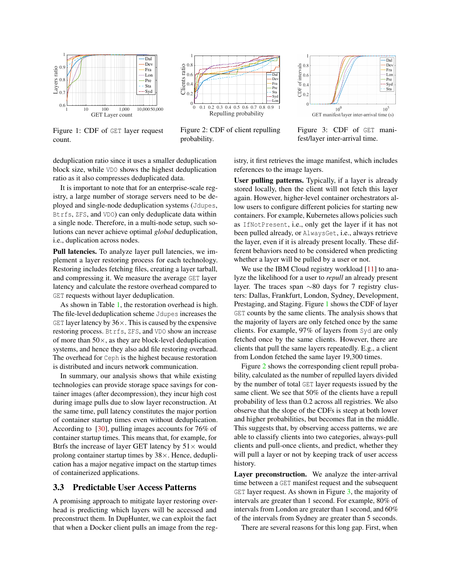<span id="page-3-0"></span>

Figure 1: CDF of GET layer request count.



Figure 2: CDF of client repulling probability.



Figure 3: CDF of GET manifest/layer inter-arrival time.

deduplication ratio since it uses a smaller deduplication block size, while VDO shows the highest deduplication ratio as it also compresses deduplicated data.

It is important to note that for an enterprise-scale registry, a large number of storage servers need to be deployed and single-node deduplication systems (Jdupes, Btrfs, ZFS, and VDO) can only deduplicate data within a single node. Therefore, in a multi-node setup, such solutions can never achieve optimal *global* deduplication, i.e., duplication across nodes.

Pull latencies. To analyze layer pull latencies, we implement a layer restoring process for each technology. Restoring includes fetching files, creating a layer tarball, and compressing it. We measure the average GET layer latency and calculate the restore overhead compared to GET requests without layer deduplication.

As shown in Table [1,](#page-2-1) the restoration overhead is high. The file-level deduplication scheme Jdupes increases the GET layer latency by  $36 \times$ . This is caused by the expensive restoring process. Btrfs, ZFS, and VDO show an increase of more than  $50\times$ , as they are block-level deduplication systems, and hence they also add file restoring overhead. The overhead for Ceph is the highest because restoration is distributed and incurs network communication.

In summary, our analysis shows that while existing technologies can provide storage space savings for container images (after decompression), they incur high cost during image pulls due to slow layer reconstruction. At the same time, pull latency constitutes the major portion of container startup times even without deduplication. According to [\[30\]](#page-13-10), pulling images accounts for 76% of container startup times. This means that, for example, for Btrfs the increase of layer GET latency by  $51 \times$  would prolong container startup times by 38×. Hence, deduplication has a major negative impact on the startup times of containerized applications.

#### <span id="page-3-1"></span>3.3 Predictable User Access Patterns

A promising approach to mitigate layer restoring overhead is predicting which layers will be accessed and preconstruct them. In DupHunter, we can exploit the fact that when a Docker client pulls an image from the registry, it first retrieves the image manifest, which includes references to the image layers.

User pulling patterns. Typically, if a layer is already stored locally, then the client will not fetch this layer again. However, higher-level container orchestrators allow users to configure different policies for starting new containers. For example, Kubernetes allows policies such as IfNotPresent, i.e., only get the layer if it has not been pulled already, or AlwaysGet, i.e., always retrieve the layer, even if it is already present locally. These different behaviors need to be considered when predicting whether a layer will be pulled by a user or not.

We use the IBM Cloud registry workload  $[11]$  to analyze the likelihood for a user to *repull* an already present layer. The traces span ∼80 days for 7 registry clusters: Dallas, Frankfurt, London, Sydney, Development, Prestaging, and Staging. Figure [1](#page-3-0) shows the CDF of layer GET counts by the same clients. The analysis shows that the majority of layers are only fetched once by the same clients. For example, 97% of layers from Syd are only fetched once by the same clients. However, there are clients that pull the same layers repeatedly. E.g., a client from London fetched the same layer 19,300 times.

Figure [2](#page-3-0) shows the corresponding client repull probability, calculated as the number of repulled layers divided by the number of total GET layer requests issued by the same client. We see that 50% of the clients have a repull probability of less than 0.2 across all registries. We also observe that the slope of the CDFs is steep at both lower and higher probabilities, but becomes flat in the middle. This suggests that, by observing access patterns, we are able to classify clients into two categories, always-pull clients and pull-once clients, and predict, whether they will pull a layer or not by keeping track of user access history.

Layer preconstruction. We analyze the inter-arrival time between a GET manifest request and the subsequent GET layer request. As shown in Figure [3,](#page-3-0) the majority of intervals are greater than 1 second. For example, 80% of intervals from London are greater than 1 second, and 60% of the intervals from Sydney are greater than 5 seconds.

There are several reasons for this long gap. First, when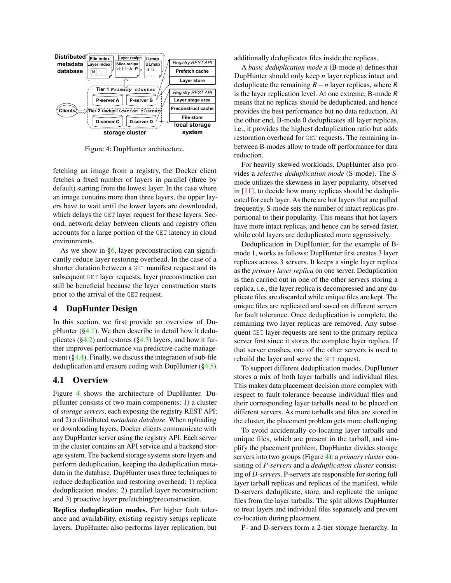<span id="page-4-1"></span>

Figure 4: DupHunter architecture.

fetching an image from a registry, the Docker client fetches a fixed number of layers in parallel (three by default) starting from the lowest layer. In the case where an image contains more than three layers, the upper layers have to wait until the lower layers are downloaded, which delays the GET layer request for these layers. Second, network delay between clients and registry often accounts for a large portion of the GET latency in cloud environments.

As we show in  $\S6$ , layer preconstruction can significantly reduce layer restoring overhead. In the case of a shorter duration between a GET manifest request and its subsequent GET layer requests, layer preconstruction can still be beneficial because the layer construction starts prior to the arrival of the GET request.

#### 4 DupHunter Design

In this section, we first provide an overview of DupHunter  $(\S 4.1)$ . We then describe in detail how it deduplicates ( $\S 4.2$ ) and restores ( $\S 4.3$ ) layers, and how it further improves performance via predictive cache management  $(\S 4.4)$ . Finally, we discuss the integration of sub-file deduplication and erasure coding with DupHunter ([§4.5\)](#page-7-0).

# <span id="page-4-0"></span>4.1 Overview

Figure [4](#page-4-1) shows the architecture of DupHunter. DupHunter consists of two main components: 1) a cluster of *storage servers*, each exposing the registry REST API; and 2) a distributed *metadata database*. When uploading or downloading layers, Docker clients communicate with any DupHunter server using the registry API. Each server in the cluster contains an API service and a backend storage system. The backend storage systems store layers and perform deduplication, keeping the deduplication metadata in the database. DupHunter uses three techniques to reduce deduplication and restoring overhead: 1) replica deduplication modes; 2) parallel layer reconstruction; and 3) proactive layer prefetching/preconstruction.

Replica deduplication modes. For higher fault tolerance and availability, existing registry setups replicate layers. DupHunter also performs layer replication, but

additionally deduplicates files inside the replicas.

A *basic deduplication mode n* (B-mode *n*) defines that DupHunter should only keep *n* layer replicas intact and deduplicate the remaining *R*−*n* layer replicas, where *R* is the layer replication level. At one extreme, B-mode *R* means that no replicas should be deduplicated, and hence provides the best performance but no data reduction. At the other end, B-mode 0 deduplicates all layer replicas, i.e., it provides the highest deduplication ratio but adds restoration overhead for GET requests. The remaining inbetween B-modes allow to trade off performance for data reduction.

For heavily skewed workloads, DupHunter also provides a *selective deduplication mode* (S-mode). The Smode utilizes the skewness in layer popularity, observed in [\[11\]](#page-12-15), to decide how many replicas should be deduplicated for each layer. As there are hot layers that are pulled frequently, S-mode sets the number of intact replicas proportional to their popularity. This means that hot layers have more intact replicas, and hence can be served faster, while cold layers are deduplicated more aggressively.

Deduplication in DupHunter, for the example of Bmode 1, works as follows: DupHunter first creates 3 layer replicas across 3 servers. It keeps a single layer replica as the *primary layer replica* on one server. Deduplication is then carried out in one of the other servers storing a replica, i.e., the layer replica is decompressed and any duplicate files are discarded while unique files are kept. The unique files are replicated and saved on different servers for fault tolerance. Once deduplication is complete, the remaining two layer replicas are removed. Any subsequent GET layer requests are sent to the primary replica server first since it stores the complete layer replica. If that server crashes, one of the other servers is used to rebuild the layer and serve the GET request.

To support different deduplication modes, DupHunter stores a mix of both layer tarballs and individual files. This makes data placement decision more complex with respect to fault tolerance because individual files and their corresponding layer tarballs need to be placed on different servers. As more tarballs and files are stored in the cluster, the placement problem gets more challenging.

To avoid accidentally co-locating layer tarballs and unique files, which are present in the tarball, and simplify the placement problem, DupHunter divides storage servers into two groups (Figure [4\)](#page-4-1): a *primary cluster* consisting of *P-servers* and a *deduplication cluster* consisting of *D-servers*. P-servers are responsible for storing full layer tarball replicas and replicas of the manifest, while D-servers deduplicate, store, and replicate the unique files from the layer tarballs. The split allows DupHunter to treat layers and individual files separately and prevent co-location during placement.

P- and D-servers form a 2-tier storage hierarchy. In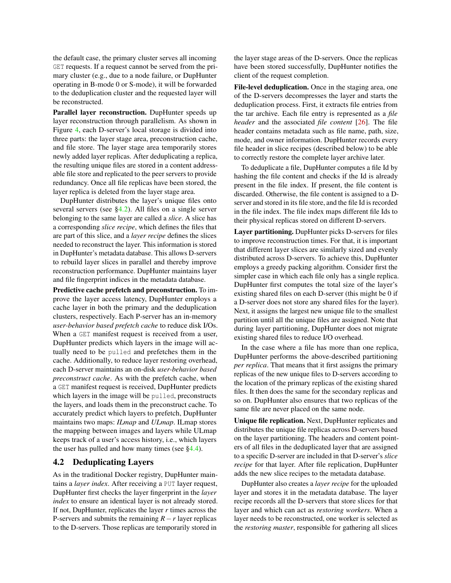the default case, the primary cluster serves all incoming GET requests. If a request cannot be served from the primary cluster (e.g., due to a node failure, or DupHunter operating in B-mode 0 or S-mode), it will be forwarded to the deduplication cluster and the requested layer will be reconstructed.

Parallel layer reconstruction. DupHunter speeds up layer reconstruction through parallelism. As shown in Figure [4,](#page-4-1) each D-server's local storage is divided into three parts: the layer stage area, preconstruction cache, and file store. The layer stage area temporarily stores newly added layer replicas. After deduplicating a replica, the resulting unique files are stored in a content addressable file store and replicated to the peer servers to provide redundancy. Once all file replicas have been stored, the layer replica is deleted from the layer stage area.

DupHunter distributes the layer's unique files onto several servers (see [§4.2\)](#page-5-0). All files on a single server belonging to the same layer are called a *slice*. A slice has a corresponding *slice recipe*, which defines the files that are part of this slice, and a *layer recipe* defines the slices needed to reconstruct the layer. This information is stored in DupHunter's metadata database. This allows D-servers to rebuild layer slices in parallel and thereby improve reconstruction performance. DupHunter maintains layer and file fingerprint indices in the metadata database.

Predictive cache prefetch and preconstruction. To improve the layer access latency, DupHunter employs a cache layer in both the primary and the deduplication clusters, respectively. Each P-server has an in-memory *user-behavior based prefetch cache* to reduce disk I/Os. When a GET manifest request is received from a user, DupHunter predicts which layers in the image will actually need to be pulled and prefetches them in the cache. Additionally, to reduce layer restoring overhead, each D-server maintains an on-disk *user-behavior based preconstruct cache*. As with the prefetch cache, when a GET manifest request is received, DupHunter predicts which layers in the image will be pulled, preconstructs the layers, and loads them in the preconstruct cache. To accurately predict which layers to prefetch, DupHunter maintains two maps: *ILmap* and *ULmap*. ILmap stores the mapping between images and layers while ULmap keeps track of a user's access history, i.e., which layers the user has pulled and how many times (see  $\S 4.4$ ).

# <span id="page-5-0"></span>4.2 Deduplicating Layers

As in the traditional Docker registry, DupHunter maintains a *layer index*. After receiving a PUT layer request, DupHunter first checks the layer fingerprint in the *layer index* to ensure an identical layer is not already stored. If not, DupHunter, replicates the layer *r* times across the P-servers and submits the remaining *R*−*r* layer replicas to the D-servers. Those replicas are temporarily stored in

the layer stage areas of the D-servers. Once the replicas have been stored successfully, DupHunter notifies the client of the request completion.

File-level deduplication. Once in the staging area, one of the D-servers decompresses the layer and starts the deduplication process. First, it extracts file entries from the tar archive. Each file entry is represented as a *file header* and the associated *file content* [\[26\]](#page-12-26). The file header contains metadata such as file name, path, size, mode, and owner information. DupHunter records every file header in slice recipes (described below) to be able to correctly restore the complete layer archive later.

To deduplicate a file, DupHunter computes a file Id by hashing the file content and checks if the Id is already present in the file index. If present, the file content is discarded. Otherwise, the file content is assigned to a Dserver and stored in its file store, and the file Id is recorded in the file index. The file index maps different file Ids to their physical replicas stored on different D-servers.

Layer partitioning. DupHunter picks D-servers for files to improve reconstruction times. For that, it is important that different layer slices are similarly sized and evenly distributed across D-servers. To achieve this, DupHunter employs a greedy packing algorithm. Consider first the simpler case in which each file only has a single replica. DupHunter first computes the total size of the layer's existing shared files on each D-server (this might be 0 if a D-server does not store any shared files for the layer). Next, it assigns the largest new unique file to the smallest partition until all the unique files are assigned. Note that during layer partitioning, DupHunter does not migrate existing shared files to reduce I/O overhead.

In the case where a file has more than one replica, DupHunter performs the above-described partitioning *per replica*. That means that it first assigns the primary replicas of the new unique files to D-servers according to the location of the primary replicas of the existing shared files. It then does the same for the secondary replicas and so on. DupHunter also ensures that two replicas of the same file are never placed on the same node.

Unique file replication. Next, DupHunter replicates and distributes the unique file replicas across D-servers based on the layer partitioning. The headers and content pointers of all files in the deduplicated layer that are assigned to a specific D-server are included in that D-server's *slice recipe* for that layer. After file replication, DupHunter adds the new slice recipes to the metadata database.

DupHunter also creates a *layer recipe* for the uploaded layer and stores it in the metadata database. The layer recipe records all the D-servers that store slices for that layer and which can act as *restoring workers*. When a layer needs to be reconstructed, one worker is selected as the *restoring master*, responsible for gathering all slices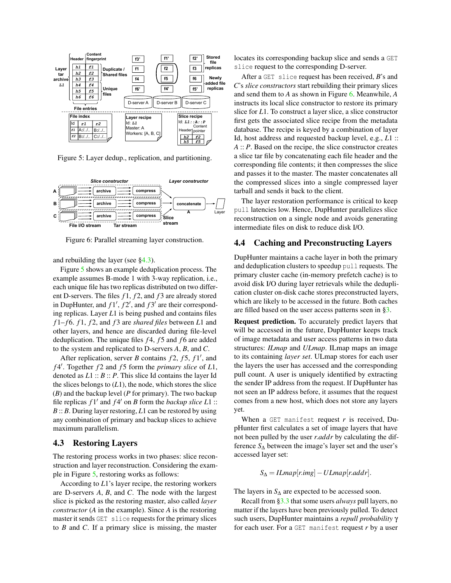<span id="page-6-2"></span>

Figure 5: Layer dedup., replication, and partitioning.

<span id="page-6-3"></span>

Figure 6: Parallel streaming layer construction.

and rebuilding the layer (see [§4.3\)](#page-6-0).

Figure [5](#page-6-2) shows an example deduplication process. The example assumes B-mode 1 with 3-way replication, i.e., each unique file has two replicas distributed on two different D-servers. The files *f* 1, *f* 2, and *f* 3 are already stored in DupHunter, and  $f1', f2',$  and  $f3'$  are their corresponding replicas. Layer *L*1 is being pushed and contains files *f* 1– *f* 6. *f* 1, *f* 2, and *f* 3 are *shared files* between *L*1 and other layers, and hence are discarded during file-level deduplication. The unique files *f* 4, *f* 5 and *f* 6 are added to the system and replicated to D-servers *A*, *B*, and *C*.

After replication, server *B* contains  $f2$ ,  $f5$ ,  $f1'$ , and *f* 4 0 . Together *f* 2 and *f* 5 form the *primary slice* of *L*1, denoted as *L*1 :: *B* :: *P*. This slice Id contains the layer Id the slices belongs to  $(L1)$ , the node, which stores the slice (*B*) and the backup level (*P* for primary). The two backup file replicas  $f1'$  and  $f4'$  on *B* form the *backup slice*  $L1$  :: *B* :: *B*. During layer restoring, *L*1 can be restored by using any combination of primary and backup slices to achieve maximum parallelism.

## <span id="page-6-0"></span>4.3 Restoring Layers

The restoring process works in two phases: slice reconstruction and layer reconstruction. Considering the example in Figure [5,](#page-6-2) restoring works as follows:

According to *L*1's layer recipe, the restoring workers are D-servers *A*, *B*, and *C*. The node with the largest slice is picked as the restoring master, also called *layer constructor* (*A* in the example). Since *A* is the restoring master it sends GET slice requests for the primary slices to *B* and *C*. If a primary slice is missing, the master

locates its corresponding backup slice and sends a GET slice request to the corresponding D-server.

After a GET slice request has been received, *B*'s and *C*'s *slice constructors* start rebuilding their primary slices and send them to *A* as shown in Figure [6.](#page-6-3) Meanwhile, *A* instructs its local slice constructor to restore its primary slice for *L*1. To construct a layer slice, a slice constructor first gets the associated slice recipe from the metadata database. The recipe is keyed by a combination of layer Id, host address and requested backup level, e.g., *L*1 :: *A* :: *P*. Based on the recipe, the slice constructor creates a slice tar file by concatenating each file header and the corresponding file contents; it then compresses the slice and passes it to the master. The master concatenates all the compressed slices into a single compressed layer tarball and sends it back to the client.

The layer restoration performance is critical to keep pull latencies low. Hence, DupHunter parallelizes slice reconstruction on a single node and avoids generating intermediate files on disk to reduce disk I/O.

# <span id="page-6-1"></span>4.4 Caching and Preconstructing Layers

DupHunter maintains a cache layer in both the primary and deduplication clusters to speedup pull requests. The primary cluster cache (in-memory prefetch cache) is to avoid disk I/O during layer retrievals while the deduplication cluster on-disk cache stores preconstructed layers, which are likely to be accessed in the future. Both caches are filled based on the user access patterns seen in [§3.](#page-2-2)

Request prediction. To accurately predict layers that will be accessed in the future, DupHunter keeps track of image metadata and user access patterns in two data structures: *ILmap* and *ULmap*. ILmap maps an image to its containing *layer set*. ULmap stores for each user the layers the user has accessed and the corresponding pull count. A user is uniquely identified by extracting the sender IP address from the request. If DupHunter has not seen an IP address before, it assumes that the request comes from a new host, which does not store any layers yet.

When a GET manifest request *r* is received, DupHunter first calculates a set of image layers that have not been pulled by the user *r*.*addr* by calculating the difference *S*<sup>∆</sup> between the image's layer set and the user's accessed layer set:

 $S_{\Delta} = ILmap[r.img] - ULmap[r.addr].$ 

The layers in  $S_\Lambda$  are expected to be accessed soon.

Recall from [§3.3](#page-3-1) that some users *always* pull layers, no matter if the layers have been previously pulled. To detect such users, DupHunter maintains a *repull probability* γ for each user. For a GET manifest request *r* by a user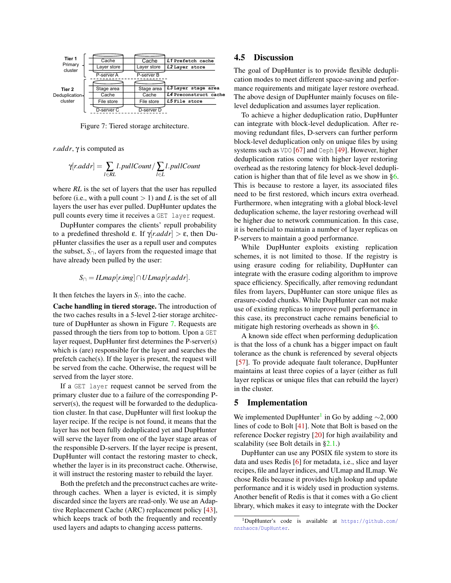<span id="page-7-1"></span>

Figure 7: Tiered storage architecture.

*r*.*addr*, γ is computed as

$$
\gamma[r.addr] = \sum_{l \in RL} l.pullCount / \sum_{l \in L} l.pullCount
$$

where *RL* is the set of layers that the user has repulled before (i.e., with a pull count  $> 1$ ) and *L* is the set of all layers the user has ever pulled. DupHunter updates the pull counts every time it receives a GET layer request.

DupHunter compares the clients' repull probability to a predefined threshold ε. If γ[*r*.*addr*] > ε, then DupHunter classifies the user as a repull user and computes the subset,  $S_{\cap}$ , of layers from the requested image that have already been pulled by the user:

$$
S_{\cap} = ILmap[r.img] \cap ULmap[r.addr].
$$

It then fetches the layers in  $S_{\cap}$  into the cache.

Cache handling in tiered storage. The introduction of the two caches results in a 5-level 2-tier storage architecture of DupHunter as shown in Figure [7.](#page-7-1) Requests are passed through the tiers from top to bottom. Upon a GET layer request, DupHunter first determines the P-server(s) which is (are) responsible for the layer and searches the prefetch cache(s). If the layer is present, the request will be served from the cache. Otherwise, the request will be served from the layer store.

If a GET layer request cannot be served from the primary cluster due to a failure of the corresponding Pserver(s), the request will be forwarded to the deduplication cluster. In that case, DupHunter will first lookup the layer recipe. If the recipe is not found, it means that the layer has not been fully deduplicated yet and DupHunter will serve the layer from one of the layer stage areas of the responsible D-servers. If the layer recipe is present, DupHunter will contact the restoring master to check, whether the layer is in its preconstruct cache. Otherwise, it will instruct the restoring master to rebuild the layer.

<span id="page-7-0"></span>Both the prefetch and the preconstruct caches are writethrough caches. When a layer is evicted, it is simply discarded since the layers are read-only. We use an Adaptive Replacement Cache (ARC) replacement policy [\[43\]](#page-13-20), which keeps track of both the frequently and recently used layers and adapts to changing access patterns.

# 4.5 Discussion

The goal of DupHunter is to provide flexible deduplication modes to meet different space-saving and performance requirements and mitigate layer restore overhead. The above design of DupHunter mainly focuses on filelevel deduplication and assumes layer replication.

To achieve a higher deduplication ratio, DupHunter can integrate with block-level deduplication. After removing redundant files, D-servers can further perform block-level deduplication only on unique files by using systems such as VDO [\[67\]](#page-14-16) and Ceph [\[49\]](#page-13-18). However, higher deduplication ratios come with higher layer restoring overhead as the restoring latency for block-level deduplication is higher than that of file level as we show in [§6.](#page-8-0) This is because to restore a layer, its associated files need to be first restored, which incurs extra overhead. Furthermore, when integrating with a global block-level deduplication scheme, the layer restoring overhead will be higher due to network communication. In this case, it is beneficial to maintain a number of layer replicas on P-servers to maintain a good performance.

While DupHunter exploits existing replication schemes, it is not limited to those. If the registry is using erasure coding for reliability, DupHunter can integrate with the erasure coding algorithm to improve space efficiency. Specifically, after removing redundant files from layers, DupHunter can store unique files as erasure-coded chunks. While DupHunter can not make use of existing replicas to improve pull performance in this case, its preconstruct cache remains beneficial to mitigate high restoring overheads as shown in [§6.](#page-8-0)

A known side effect when performing deduplication is that the loss of a chunk has a bigger impact on fault tolerance as the chunk is referenced by several objects [\[57\]](#page-14-18). To provide adequate fault tolerance, DupHunter maintains at least three copies of a layer (either as full layer replicas or unique files that can rebuild the layer) in the cluster.

#### 5 Implementation

We implemented DupHunter<sup>[1](#page-7-2)</sup> in Go by adding ~2,000 lines of code to Bolt [\[41\]](#page-13-9). Note that Bolt is based on the reference Docker registry [\[20\]](#page-12-11) for high availability and scalability (see Bolt details in [§2.1.](#page-1-0))

DupHunter can use any POSIX file system to store its data and uses Redis [\[6\]](#page-12-27) for metadata, i.e., slice and layer recipes, file and layer indices, and ULmap and ILmap. We chose Redis because it provides high lookup and update performance and it is widely used in production systems. Another benefit of Redis is that it comes with a Go client library, which makes it easy to integrate with the Docker

<span id="page-7-2"></span><sup>1</sup>DupHunter's code is available at [https://github.com/](https://github.com/nnzhaocs/DupHunter) [nnzhaocs/DupHunter](https://github.com/nnzhaocs/DupHunter).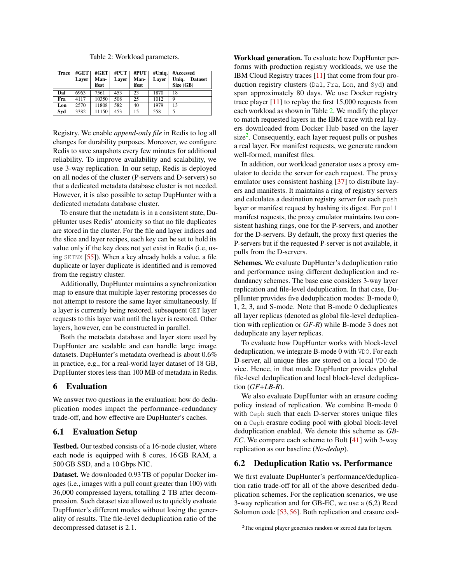Table 2: Workload parameters.

<span id="page-8-1"></span>

| <b>Trace</b> | #GET<br>Laver | #GET<br>Man-<br>ifest | #PUT<br>Laver | #PUT<br>Man-<br>ifest | #Uniq.<br>Laver | #Accessed<br>Uniq.<br><b>Dataset</b><br>Size(GB) |
|--------------|---------------|-----------------------|---------------|-----------------------|-----------------|--------------------------------------------------|
| Dal          | 6963          | 7561                  | 453           | 23                    | 1870            | 18                                               |
| Fra          | 4117          | 10350                 | 508           | 25                    | 1012            | 9                                                |
| Lon          | 2570          | 11808                 | 582           | 40                    | 1979            | 13                                               |
| Syd          | 3382          | 11150                 | 453           | 15                    | 558             |                                                  |

Registry. We enable *append-only file* in Redis to log all changes for durability purposes. Moreover, we configure Redis to save snapshots every few minutes for additional reliability. To improve availability and scalability, we use 3-way replication. In our setup, Redis is deployed on all nodes of the cluster (P-servers and D-servers) so that a dedicated metadata database cluster is not needed. However, it is also possible to setup DupHunter with a dedicated metadata database cluster.

To ensure that the metadata is in a consistent state, DupHunter uses Redis' atomicity so that no file duplicates are stored in the cluster. For the file and layer indices and the slice and layer recipes, each key can be set to hold its value only if the key does not yet exist in Redis (i.e, using SETNX [\[55\]](#page-14-19)). When a key already holds a value, a file duplicate or layer duplicate is identified and is removed from the registry cluster.

Additionally, DupHunter maintains a synchronization map to ensure that multiple layer restoring processes do not attempt to restore the same layer simultaneously. If a layer is currently being restored, subsequent GET layer requests to this layer wait until the layer is restored. Other layers, however, can be constructed in parallel.

Both the metadata database and layer store used by DupHunter are scalable and can handle large image datasets. DupHunter's metadata overhead is about 0.6% in practice, e.g., for a real-world layer dataset of 18 GB, DupHunter stores less than 100 MB of metadata in Redis.

# <span id="page-8-0"></span>6 Evaluation

We answer two questions in the evaluation: how do deduplication modes impact the performance–redundancy trade-off, and how effective are DupHunter's caches.

# 6.1 Evaluation Setup

Testbed. Our testbed consists of a 16-node cluster, where each node is equipped with 8 cores, 16 GB RAM, a 500 GB SSD, and a 10 Gbps NIC.

Dataset. We downloaded 0.93 TB of popular Docker images (i.e., images with a pull count greater than 100) with 36,000 compressed layers, totalling 2 TB after decompression. Such dataset size allowed us to quickly evaluate DupHunter's different modes without losing the generality of results. The file-level deduplication ratio of the decompressed dataset is 2.1.

Workload generation. To evaluate how DupHunter performs with production registry workloads, we use the IBM Cloud Registry traces [\[11\]](#page-12-15) that come from four production registry clusters (Dal, Fra, Lon, and Syd) and span approximately 80 days. We use Docker registry trace player  $[11]$  to replay the first 15,000 requests from each workload as shown in Table [2.](#page-8-1) We modify the player to match requested layers in the IBM trace with real layers downloaded from Docker Hub based on the layer size<sup>[2](#page-8-2)</sup>. Consequently, each layer request pulls or pushes a real layer. For manifest requests, we generate random well-formed, manifest files.

In addition, our workload generator uses a proxy emulator to decide the server for each request. The proxy emulator uses consistent hashing [\[37\]](#page-13-21) to distribute layers and manifests. It maintains a ring of registry servers and calculates a destination registry server for each push layer or manifest request by hashing its digest. For pull manifest requests, the proxy emulator maintains two consistent hashing rings, one for the P-servers, and another for the D-servers. By default, the proxy first queries the P-servers but if the requested P-server is not available, it pulls from the D-servers.

Schemes. We evaluate DupHunter's deduplication ratio and performance using different deduplication and redundancy schemes. The base case considers 3-way layer replication and file-level deduplication. In that case, DupHunter provides five deduplication modes: B-mode 0, 1, 2, 3, and S-mode. Note that B-mode 0 deduplicates all layer replicas (denoted as global file-level deduplication with replication or *GF-R*) while B-mode 3 does not deduplicate any layer replicas.

To evaluate how DupHunter works with block-level deduplication, we integrate B-mode 0 with VDO. For each D-server, all unique files are stored on a local VDO device. Hence, in that mode DupHunter provides global file-level deduplication and local block-level deduplication (*GF+LB-R*).

We also evaluate DupHunter with an erasure coding policy instead of replication. We combine B-mode 0 with Ceph such that each D-server stores unique files on a Ceph erasure coding pool with global block-level deduplication enabled. We denote this scheme as *GB-EC*. We compare each scheme to Bolt [\[41\]](#page-13-9) with 3-way replication as our baseline (*No-dedup*).

# 6.2 Deduplication Ratio vs. Performance

We first evaluate DupHunter's performance/deduplication ratio trade-off for all of the above described deduplication schemes. For the replication scenarios, we use 3-way replication and for GB-EC, we use a (6,2) Reed Solomon code [\[53,](#page-14-20) [56\]](#page-14-21). Both replication and erasure cod-

<span id="page-8-2"></span><sup>&</sup>lt;sup>2</sup>The original player generates random or zeroed data for layers.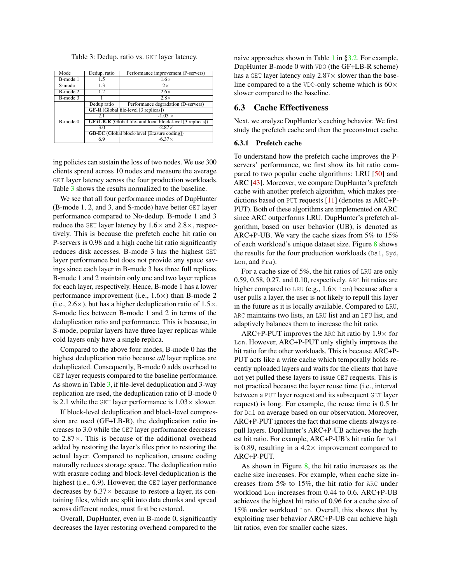<span id="page-9-0"></span>

| Table 3: Dedup. ratio vs. GET layer latency. |  |  |  |  |
|----------------------------------------------|--|--|--|--|
|----------------------------------------------|--|--|--|--|

| Mode          | Dedup. ratio                                                     | Performance improvement (P-servers) |  |  |
|---------------|------------------------------------------------------------------|-------------------------------------|--|--|
| B-mode 1      | 1.5                                                              | $1.6\times$                         |  |  |
| S-mode        | 1.3                                                              | $2\times$                           |  |  |
| B-mode 2      | 12                                                               | $2.6\times$                         |  |  |
| B-mode 3      |                                                                  | $2.8\times$                         |  |  |
|               | Dedup ratio                                                      | Performance degradation (D-servers) |  |  |
|               | <b>GF-R</b> (Global file-level [3 replicas])                     |                                     |  |  |
|               | 2.1                                                              | $-1.03 \times$                      |  |  |
| $B$ -mode $0$ | <b>GF+LB-R</b> (Global file- and local block-level [3 replicas]) |                                     |  |  |
|               | $-2.87\times$<br>3.0                                             |                                     |  |  |
|               | <b>GB-EC</b> (Global block-level [Erasure coding])               |                                     |  |  |
|               | 6.9                                                              | $-6.37\times$                       |  |  |

ing policies can sustain the loss of two nodes. We use 300 clients spread across 10 nodes and measure the average GET layer latency across the four production workloads. Table [3](#page-9-0) shows the results normalized to the baseline.

We see that all four performance modes of DupHunter (B-mode 1, 2, and 3, and S-mode) have better GET layer performance compared to No-dedup. B-mode 1 and 3 reduce the GET layer latency by  $1.6 \times$  and  $2.8 \times$ , respectively. This is because the prefetch cache hit ratio on P-servers is 0.98 and a high cache hit ratio significantly reduces disk accesses. B-mode 3 has the highest GET layer performance but does not provide any space savings since each layer in B-mode 3 has three full replicas. B-mode 1 and 2 maintain only one and two layer replicas for each layer, respectively. Hence, B-mode 1 has a lower performance improvement (i.e., 1.6×) than B-mode 2 (i.e.,  $2.6 \times$ ), but has a higher deduplication ratio of  $1.5 \times$ . S-mode lies between B-mode 1 and 2 in terms of the deduplication ratio and performance. This is because, in S-mode, popular layers have three layer replicas while cold layers only have a single replica.

Compared to the above four modes, B-mode 0 has the highest deduplication ratio because *all* layer replicas are deduplicated. Consequently, B-mode 0 adds overhead to GET layer requests compared to the baseline performance. As shown in Table [3,](#page-9-0) if file-level deduplication and 3-way replication are used, the deduplication ratio of B-mode 0 is 2.1 while the GET layer performance is  $1.03 \times$  slower.

If block-level deduplication and block-level compression are used (GF+LB-R), the deduplication ratio increases to 3.0 while the GET layer performance decreases to 2.87×. This is because of the additional overhead added by restoring the layer's files prior to restoring the actual layer. Compared to replication, erasure coding naturally reduces storage space. The deduplication ratio with erasure coding and block-level deduplication is the highest (i.e., 6.9). However, the GET layer performance decreases by  $6.37\times$  because to restore a layer, its containing files, which are split into data chunks and spread across different nodes, must first be restored.

Overall, DupHunter, even in B-mode 0, significantly decreases the layer restoring overhead compared to the naive approaches shown in Table [1](#page-2-1) in [§3.2.](#page-2-0) For example, DupHunter B-mode 0 with VDO (the GF+LB-R scheme) has a GET layer latency only  $2.87 \times$  slower than the baseline compared to a the VDO-only scheme which is  $60 \times$ slower compared to the baseline.

## 6.3 Cache Effectiveness

Next, we analyze DupHunter's caching behavior. We first study the prefetch cache and then the preconstruct cache.

#### 6.3.1 Prefetch cache

To understand how the prefetch cache improves the Pservers' performance, we first show its hit ratio compared to two popular cache algorithms: LRU [\[50\]](#page-13-22) and ARC [\[43\]](#page-13-20). Moreover, we compare DupHunter's prefetch cache with another prefetch algorithm, which makes predictions based on PUT requests [\[11\]](#page-12-15) (denotes as ARC+P-PUT). Both of these algorithms are implemented on ARC since ARC outperforms LRU. DupHunter's prefetch algorithm, based on user behavior (UB), is denoted as ARC+P-UB. We vary the cache sizes from 5% to 15% of each workload's unique dataset size. Figure [8](#page-10-0) shows the results for the four production workloads (Dal, Syd, Lon, and Fra).

For a cache size of 5%, the hit ratios of LRU are only 0.59, 0.58, 0.27, and 0.10, respectively. ARC hit ratios are higher compared to LRU (e.g.,  $1.6 \times$  Lon) because after a user pulls a layer, the user is not likely to repull this layer in the future as it is locally available. Compared to LRU, ARC maintains two lists, an LRU list and an LFU list, and adaptively balances them to increase the hit ratio.

ARC+P-PUT improves the ARC hit ratio by  $1.9 \times$  for Lon. However, ARC+P-PUT only slightly improves the hit ratio for the other workloads. This is because ARC+P-PUT acts like a write cache which temporally holds recently uploaded layers and waits for the clients that have not yet pulled these layers to issue GET requests. This is not practical because the layer reuse time (i.e., interval between a PUT layer request and its subsequent GET layer request) is long. For example, the reuse time is 0.5 hr for Dal on average based on our observation. Moreover, ARC+P-PUT ignores the fact that some clients always repull layers. DupHunter's ARC+P-UB achieves the highest hit ratio. For example, ARC+P-UB's hit ratio for Dal is 0.89, resulting in a  $4.2 \times$  improvement compared to ARC+P-PUT.

As shown in Figure  $\frac{8}{3}$ , the hit ratio increases as the cache size increases. For example, when cache size increases from 5% to 15%, the hit ratio for ARC under workload Lon increases from 0.44 to 0.6. ARC+P-UB achieves the highest hit ratio of 0.96 for a cache size of 15% under workload Lon. Overall, this shows that by exploiting user behavior ARC+P-UB can achieve high hit ratios, even for smaller cache sizes.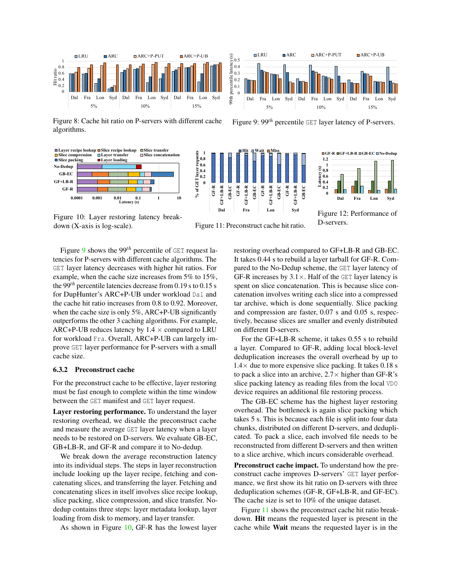<span id="page-10-0"></span>

Figure 8: Cache hit ratio on P-servers with different cache algorithms.

<span id="page-10-1"></span>

Figure 10: Layer restoring latency break-

down (X-axis is log-scale).



**Hit Wait Miss**

 $\boldsymbol{0}$ 0.1 0.2 0.3 0.4 0.5

**0.6 0.8 1**

Figure 11: Preconstruct cache hit ratio.

Figure [9](#page-10-0) shows the 99<sup>th</sup> percentile of GET request latencies for P-servers with different cache algorithms. The GET layer latency decreases with higher hit ratios. For example, when the cache size increases from 5% to 15%, the 99*th* percentile latencies decrease from 0.19 s to 0.15 s for DupHunter's ARC+P-UB under workload Dal and the cache hit ratio increases from 0.8 to 0.92. Moreover, when the cache size is only 5%, ARC+P-UB significantly outperforms the other 3 caching algorithms. For example, ARC+P-UB reduces latency by  $1.4 \times$  compared to LRU for workload Fra. Overall, ARC+P-UB can largely improve GET layer performance for P-servers with a small cache size.

#### 6.3.2 Preconstruct cache

For the preconstruct cache to be effective, layer restoring must be fast enough to complete within the time window between the GET manifest and GET layer request.

Layer restoring performance. To understand the layer restoring overhead, we disable the preconstruct cache and measure the average GET layer latency when a layer needs to be restored on D-servers. We evaluate GB-EC, GB+LB-R, and GF-R and compare it to No-dedup.

We break down the average reconstruction latency into its individual steps. The steps in layer reconstruction include looking up the layer recipe, fetching and concatenating slices, and transferring the layer. Fetching and concatenating slices in itself involves slice recipe lookup, slice packing, slice compression, and slice transfer. Nodedup contains three steps: layer metadata lookup, layer loading from disk to memory, and layer transfer.

As shown in Figure [10,](#page-10-1) GF-R has the lowest layer

restoring overhead compared to GF+LB-R and GB-EC. It takes 0.44 s to rebuild a layer tarball for GF-R. Compared to the No-Dedup scheme, the GET layer latency of GF-R increases by  $3.1 \times$ . Half of the GET layer latency is spent on slice concatenation. This is because slice concatenation involves writing each slice into a compressed tar archive, which is done sequentially. Slice packing and compression are faster, 0.07 s and 0.05 s, respectively, because slices are smaller and evenly distributed on different D-servers.

For the GF+LB-R scheme, it takes 0.55 s to rebuild a layer. Compared to GF-R, adding local block-level deduplication increases the overall overhead by up to  $1.4\times$  due to more expensive slice packing. It takes 0.18 s to pack a slice into an archive,  $2.7 \times$  higher than GF-R's slice packing latency as reading files from the local VDO device requires an additional file restoring process.

The GB-EC scheme has the highest layer restoring overhead. The bottleneck is again slice packing which takes 5 s. This is because each file is split into four data chunks, distributed on different D-servers, and deduplicated. To pack a slice, each involved file needs to be reconstructed from different D-servers and then written to a slice archive, which incurs considerable overhead.

Preconstruct cache impact. To understand how the preconstruct cache improves D-servers' GET layer performance, we first show its hit ratio on D-servers with three deduplication schemes (GF-R, GF+LB-R, and GF-EC). The cache size is set to 10% of the unique dataset.

Figure [11](#page-10-1) shows the preconstruct cache hit ratio breakdown. Hit means the requested layer is present in the cache while Wait means the requested layer is in the



Dal Fra Lon Syd Dal Fra Lon Syd Dal Fra Lon Syd 5% 10% 15%

**<u></u>**ELRU ⊓ARC □ ARC+P-PUT □ ARC+P-UB



Figure 12: Performance of D-servers.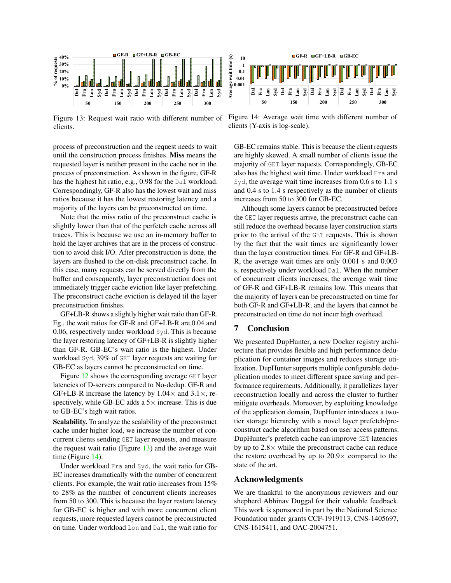<span id="page-11-0"></span>

Figure 13: Request wait ratio with different number of clients.

process of preconstruction and the request needs to wait until the construction process finishes. Miss means the requested layer is neither present in the cache nor in the process of preconstruction. As shown in the figure, GF-R has the highest hit ratio, e.g., 0.98 for the Dal workload. Correspondingly, GF-R also has the lowest wait and miss ratios because it has the lowest restoring latency and a majority of the layers can be preconstructed on time.

Note that the miss ratio of the preconstruct cache is slightly lower than that of the perfetch cache across all traces. This is because we use an in-memory buffer to hold the layer archives that are in the process of construction to avoid disk I/O. After preconstruction is done, the layers are flushed to the on-disk preconstruct cache. In this case, many requests can be served directly from the buffer and consequently, layer preconstruction does not immediately trigger cache eviction like layer prefetching. The preconstruct cache eviction is delayed til the layer preconstruction finishes.

GF+LB-R shows a slightly higher wait ratio than GF-R. Eg., the wait ratios for GF-R and GF+LB-R are 0.04 and 0.06, respectively under workload Syd. This is because the layer restoring latency of GF+LB-R is slightly higher than GF-R. GB-EC's wait ratio is the highest. Under workload Syd, 39% of GET layer requests are waiting for GB-EC as layers cannot be preconstructed on time.

Figure [12](#page-10-1) shows the corresponding average GET layer latencies of D-servers compared to No-dedup. GF-R and GF+LB-R increase the latency by  $1.04 \times$  and  $3.1 \times$ , respectively, while GB-EC adds a  $5\times$  increase. This is due to GB-EC's high wait ratios.

Scalability. To analyze the scalability of the preconstruct cache under higher load, we increase the number of concurrent clients sending GET layer requests, and measure the request wait ratio (Figure  $13$ ) and the average wait time (Figure [14\)](#page-11-0).

Under workload Fra and Syd, the wait ratio for GB-EC increases dramatically with the number of concurrent clients. For example, the wait ratio increases from 15% to 28% as the number of concurrent clients increases from 50 to 300. This is because the layer restore latency for GB-EC is higher and with more concurrent client requests, more requested layers cannot be preconstructed on time. Under workload Lon and Dal, the wait ratio for



Figure 14: Average wait time with different number of clients (Y-axis is log-scale).

GB-EC remains stable. This is because the client requests are highly skewed. A small number of clients issue the majority of GET layer requests. Correspondingly, GB-EC also has the highest wait time. Under workload Fra and Syd, the average wait time increases from 0.6 s to 1.1 s and 0.4 s to 1.4 s respectively as the number of clients increases from 50 to 300 for GB-EC.

Although some layers cannot be preconstructed before the GET layer requests arrive, the preconstruct cache can still reduce the overhead because layer construction starts prior to the arrival of the GET requests. This is shown by the fact that the wait times are significantly lower than the layer construction times. For GF-R and GF+LB-R, the average wait times are only 0.001 s and 0.003 s, respectively under workload Dal. When the number of concurrent clients increases, the average wait time of GF-R and GF+LB-R remains low. This means that the majority of layers can be preconstructed on time for both GF-R and GF+LB-R, and the layers that cannot be preconstructed on time do not incur high overhead.

#### 7 Conclusion

We presented DupHunter, a new Docker registry architecture that provides flexible and high performance deduplication for container images and reduces storage utilization. DupHunter supports multiple configurable deduplication modes to meet different space saving and performance requirements. Additionally, it parallelizes layer reconstruction locally and across the cluster to further mitigate overheads. Moreover, by exploiting knowledge of the application domain, DupHunter introduces a twotier storage hierarchy with a novel layer prefetch/preconstruct cache algorithm based on user access patterns. DupHunter's prefetch cache can improve GET latencies by up to  $2.8\times$  while the preconstruct cache can reduce the restore overhead by up to  $20.9 \times$  compared to the state of the art.

# Acknowledgments

We are thankful to the anonymous reviewers and our shepherd Abhinav Duggal for their valuable feedback. This work is sponsored in part by the National Science Foundation under grants CCF-1919113, CNS-1405697, CNS-1615411, and OAC-2004751.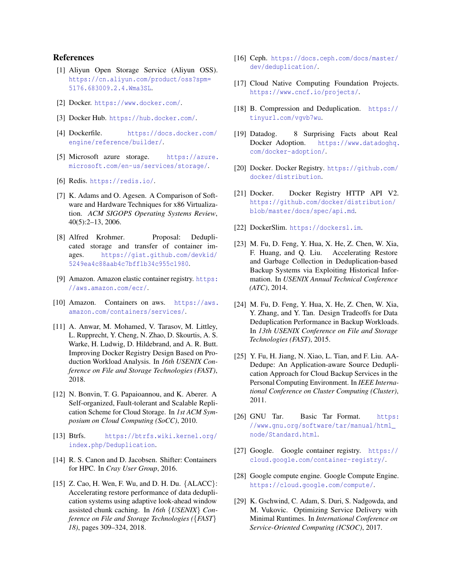#### References

- <span id="page-12-13"></span>[1] Aliyun Open Storage Service (Aliyun OSS). [https://cn.aliyun.com/product/oss?spm=](https://cn.aliyun.com/product/oss?spm=5176.683009.2.4.Wma3SL) [5176.683009.2.4.Wma3SL](https://cn.aliyun.com/product/oss?spm=5176.683009.2.4.Wma3SL).
- <span id="page-12-0"></span>[2] Docker. <https://www.docker.com/>.
- <span id="page-12-7"></span>[3] Docker Hub. <https://hub.docker.com/>.
- <span id="page-12-6"></span>[4] Dockerfile. [https://docs.docker.com/](https://docs.docker.com/engine/reference/builder/) [engine/reference/builder/](https://docs.docker.com/engine/reference/builder/).
- <span id="page-12-14"></span>[5] Microsoft azure storage. [https://azure.](https://azure.microsoft.com/en-us/services/storage/) [microsoft.com/en-us/services/storage/](https://azure.microsoft.com/en-us/services/storage/).
- <span id="page-12-27"></span>[6] Redis. <https://redis.io/>.
- <span id="page-12-1"></span>[7] K. Adams and O. Agesen. A Comparison of Software and Hardware Techniques for x86 Virtualization. *ACM SIGOPS Operating Systems Review*, 40(5):2–13, 2006.
- <span id="page-12-17"></span>[8] Alfred Krohmer. Proposal: Deduplicated storage and transfer of container images. [https://gist.github.com/devkid/](https://gist.github.com/devkid/5249ea4c88aab4c7bff1b34c955c1980) [5249ea4c88aab4c7bff1b34c955c1980](https://gist.github.com/devkid/5249ea4c88aab4c7bff1b34c955c1980).
- <span id="page-12-8"></span>[9] Amazon. Amazon elastic container registry. [https:](https://aws.amazon.com/ecr/) [//aws.amazon.com/ecr/](https://aws.amazon.com/ecr/).
- <span id="page-12-3"></span>[10] Amazon. Containers on aws. [https://aws.](https://aws.amazon.com/containers/services/) [amazon.com/containers/services/](https://aws.amazon.com/containers/services/).
- <span id="page-12-15"></span>[11] A. Anwar, M. Mohamed, V. Tarasov, M. Littley, L. Rupprecht, Y. Cheng, N. Zhao, D. Skourtis, A. S. Warke, H. Ludwig, D. Hildebrand, and A. R. Butt. Improving Docker Registry Design Based on Production Workload Analysis. In *16th USENIX Conference on File and Storage Technologies (FAST)*, 2018.
- <span id="page-12-10"></span>[12] N. Bonvin, T. G. Papaioannou, and K. Aberer. A Self-organized, Fault-tolerant and Scalable Replication Scheme for Cloud Storage. In *1st ACM Symposium on Cloud Computing (SoCC)*, 2010.
- <span id="page-12-23"></span>[13] Btrfs. [https://btrfs.wiki.kernel.org/](https://btrfs.wiki.kernel.org/index.php/Deduplication) [index.php/Deduplication](https://btrfs.wiki.kernel.org/index.php/Deduplication).
- <span id="page-12-16"></span>[14] R. S. Canon and D. Jacobsen. Shifter: Containers for HPC. In *Cray User Group*, 2016.
- <span id="page-12-22"></span>[15] Z. Cao, H. Wen, F. Wu, and D. H. Du. {ALACC}: Accelerating restore performance of data deduplication systems using adaptive look-ahead window assisted chunk caching. In *16th* {*USENIX*} *Conference on File and Storage Technologies (*{*FAST*} *18)*, pages 309–324, 2018.
- <span id="page-12-24"></span>[16] Ceph. [https://docs.ceph.com/docs/master/](https://docs.ceph.com/docs/master/dev/deduplication/) [dev/deduplication/](https://docs.ceph.com/docs/master/dev/deduplication/).
- <span id="page-12-2"></span>[17] Cloud Native Computing Foundation Projects. <https://www.cncf.io/projects/>.
- <span id="page-12-25"></span>[18] B. Compression and Deduplication. [https://](https://tinyurl.com/vgvb7wu) [tinyurl.com/vgvb7wu](https://tinyurl.com/vgvb7wu).
- <span id="page-12-5"></span>[19] Datadog. 8 Surprising Facts about Real Docker Adoption. [https://www.datadoghq.](https://www.datadoghq.com/docker-adoption/) [com/docker-adoption/](https://www.datadoghq.com/docker-adoption/).
- <span id="page-12-11"></span>[20] Docker. Docker Registry. [https://github.com/](https://github.com/docker/distribution) [docker/distribution](https://github.com/docker/distribution).
- <span id="page-12-12"></span>[21] Docker. Docker Registry HTTP API V2. [https://github.com/docker/distribution/](https://github.com/docker/distribution/blob/master/docs/spec/api.md) [blob/master/docs/spec/api.md](https://github.com/docker/distribution/blob/master/docs/spec/api.md).
- <span id="page-12-18"></span>[22] DockerSlim. <https://dockersl.im>.
- <span id="page-12-20"></span>[23] M. Fu, D. Feng, Y. Hua, X. He, Z. Chen, W. Xia, F. Huang, and Q. Liu. Accelerating Restore and Garbage Collection in Deduplication-based Backup Systems via Exploiting Historical Information. In *USENIX Annual Technical Conference (ATC)*, 2014.
- [24] M. Fu, D. Feng, Y. Hua, X. He, Z. Chen, W. Xia, Y. Zhang, and Y. Tan. Design Tradeoffs for Data Deduplication Performance in Backup Workloads. In *13th USENIX Conference on File and Storage Technologies (FAST)*, 2015.
- <span id="page-12-21"></span>[25] Y. Fu, H. Jiang, N. Xiao, L. Tian, and F. Liu. AA-Dedupe: An Application-aware Source Deduplication Approach for Cloud Backup Services in the Personal Computing Environment. In *IEEE International Conference on Cluster Computing (Cluster)*, 2011.
- <span id="page-12-26"></span>[26] GNU Tar. Basic Tar Format. [https:](https://www.gnu.org/software/tar/manual/html_node/Standard.html) [//www.gnu.org/software/tar/manual/html\\_](https://www.gnu.org/software/tar/manual/html_node/Standard.html) [node/Standard.html](https://www.gnu.org/software/tar/manual/html_node/Standard.html).
- <span id="page-12-9"></span>[27] Google. Google container registry. [https://](https://cloud.google.com/container-registry/) [cloud.google.com/container-registry/](https://cloud.google.com/container-registry/).
- <span id="page-12-4"></span>[28] Google compute engine. Google Compute Engine. <https://cloud.google.com/compute/>.
- <span id="page-12-19"></span>[29] K. Gschwind, C. Adam, S. Duri, S. Nadgowda, and M. Vukovic. Optimizing Service Delivery with Minimal Runtimes. In *International Conference on Service-Oriented Computing (ICSOC)*, 2017.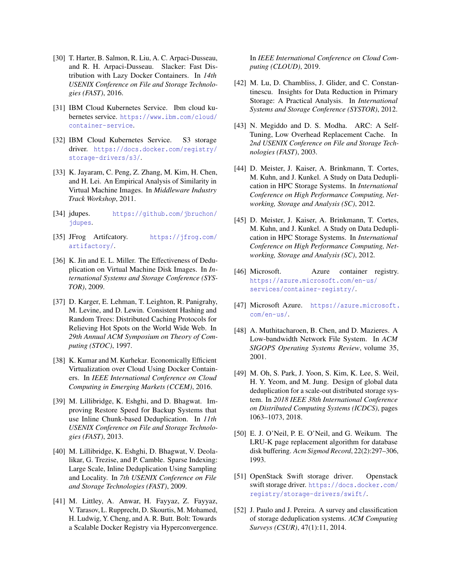- <span id="page-13-10"></span>[30] T. Harter, B. Salmon, R. Liu, A. C. Arpaci-Dusseau, and R. H. Arpaci-Dusseau. Slacker: Fast Distribution with Lazy Docker Containers. In *14th USENIX Conference on File and Storage Technologies (FAST)*, 2016.
- <span id="page-13-1"></span>[31] IBM Cloud Kubernetes Service. Ibm cloud kubernetes service. [https://www.ibm.com/cloud/](https://www.ibm.com/cloud/container-service) [container-service](https://www.ibm.com/cloud/container-service).
- <span id="page-13-3"></span>[32] IBM Cloud Kubernetes Service. S3 storage driver. [https://docs.docker.com/registry/](https://docs.docker.com/registry/storage-drivers/s3/) [storage-drivers/s3/](https://docs.docker.com/registry/storage-drivers/s3/).
- <span id="page-13-11"></span>[33] K. Jayaram, C. Peng, Z. Zhang, M. Kim, H. Chen, and H. Lei. An Empirical Analysis of Similarity in Virtual Machine Images. In *Middleware Industry Track Workshop*, 2011.
- <span id="page-13-19"></span>[34] jdupes. [https://github.com/jbruchon/](https://github.com/jbruchon/jdupes) [jdupes](https://github.com/jbruchon/jdupes).
- <span id="page-13-5"></span>[35] JFrog Artifcatory. [https://jfrog.com/](https://jfrog.com/artifactory/) [artifactory/](https://jfrog.com/artifactory/).
- <span id="page-13-12"></span>[36] K. Jin and E. L. Miller. The Effectiveness of Deduplication on Virtual Machine Disk Images. In *International Systems and Storage Conference (SYS-TOR)*, 2009.
- <span id="page-13-21"></span>[37] D. Karger, E. Lehman, T. Leighton, R. Panigrahy, M. Levine, and D. Lewin. Consistent Hashing and Random Trees: Distributed Caching Protocols for Relieving Hot Spots on the World Wide Web. In *29th Annual ACM Symposium on Theory of Computing (STOC)*, 1997.
- <span id="page-13-0"></span>[38] K. Kumar and M. Kurhekar. Economically Efficient Virtualization over Cloud Using Docker Containers. In *IEEE International Conference on Cloud Computing in Emerging Markets (CCEM)*, 2016.
- <span id="page-13-13"></span>[39] M. Lillibridge, K. Eshghi, and D. Bhagwat. Improving Restore Speed for Backup Systems that use Inline Chunk-based Deduplication. In *11th USENIX Conference on File and Storage Technologies (FAST)*, 2013.
- <span id="page-13-14"></span>[40] M. Lillibridge, K. Eshghi, D. Bhagwat, V. Deolalikar, G. Trezise, and P. Camble. Sparse Indexing: Large Scale, Inline Deduplication Using Sampling and Locality. In *7th USENIX Conference on File and Storage Technologies (FAST)*, 2009.
- <span id="page-13-9"></span>[41] M. Littley, A. Anwar, H. Fayyaz, Z. Fayyaz, V. Tarasov, L. Rupprecht, D. Skourtis, M. Mohamed, H. Ludwig, Y. Cheng, and A. R. Butt. Bolt: Towards a Scalable Docker Registry via Hyperconvergence.

In *IEEE International Conference on Cloud Computing (CLOUD)*, 2019.

- <span id="page-13-15"></span>[42] M. Lu, D. Chambliss, J. Glider, and C. Constantinescu. Insights for Data Reduction in Primary Storage: A Practical Analysis. In *International Systems and Storage Conference (SYSTOR)*, 2012.
- <span id="page-13-20"></span>[43] N. Megiddo and D. S. Modha. ARC: A Self-Tuning, Low Overhead Replacement Cache. In *2nd USENIX Conference on File and Storage Technologies (FAST)*, 2003.
- <span id="page-13-8"></span>[44] D. Meister, J. Kaiser, A. Brinkmann, T. Cortes, M. Kuhn, and J. Kunkel. A Study on Data Deduplication in HPC Storage Systems. In *International Conference on High Performance Computing, Networking, Storage and Analysis (SC)*, 2012.
- <span id="page-13-17"></span>[45] D. Meister, J. Kaiser, A. Brinkmann, T. Cortes, M. Kuhn, and J. Kunkel. A Study on Data Deduplication in HPC Storage Systems. In *International Conference on High Performance Computing, Networking, Storage and Analysis (SC)*, 2012.
- <span id="page-13-6"></span>[46] Microsoft. Azure container registry. [https://azure.microsoft.com/en-us/](https://azure.microsoft.com/en-us/services/container-registry/) [services/container-registry/](https://azure.microsoft.com/en-us/services/container-registry/).
- <span id="page-13-2"></span>[47] Microsoft Azure. [https://azure.microsoft.](https://azure.microsoft.com/en-us/) [com/en-us/](https://azure.microsoft.com/en-us/).
- <span id="page-13-16"></span>[48] A. Muthitacharoen, B. Chen, and D. Mazieres. A Low-bandwidth Network File System. In *ACM SIGOPS Operating Systems Review*, volume 35, 2001.
- <span id="page-13-18"></span>[49] M. Oh, S. Park, J. Yoon, S. Kim, K. Lee, S. Weil, H. Y. Yeom, and M. Jung. Design of global data deduplication for a scale-out distributed storage system. In *2018 IEEE 38th International Conference on Distributed Computing Systems (ICDCS)*, pages 1063–1073, 2018.
- <span id="page-13-22"></span>[50] E. J. O'Neil, P. E. O'Neil, and G. Weikum. The LRU-K page replacement algorithm for database disk buffering. *Acm Sigmod Record*, 22(2):297–306, 1993.
- <span id="page-13-4"></span>[51] OpenStack Swift storage driver. Openstack swift storage driver. [https://docs.docker.com/](https://docs.docker.com/registry/storage-drivers/swift/) [registry/storage-drivers/swift/](https://docs.docker.com/registry/storage-drivers/swift/).
- <span id="page-13-7"></span>[52] J. Paulo and J. Pereira. A survey and classification of storage deduplication systems. *ACM Computing Surveys (CSUR)*, 47(1):11, 2014.